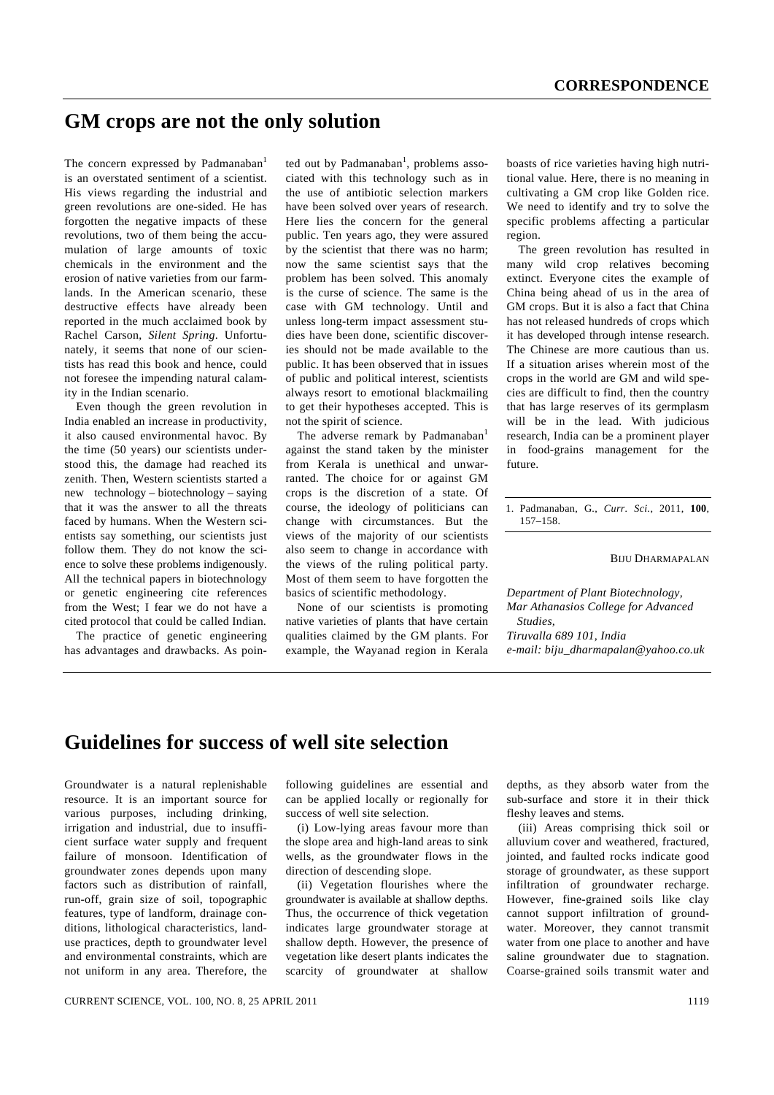## **GM crops are not the only solution**

The concern expressed by Padmanaban<sup>1</sup> is an overstated sentiment of a scientist. His views regarding the industrial and green revolutions are one-sided. He has forgotten the negative impacts of these revolutions, two of them being the accumulation of large amounts of toxic chemicals in the environment and the erosion of native varieties from our farmlands. In the American scenario, these destructive effects have already been reported in the much acclaimed book by Rachel Carson, *Silent Spring*. Unfortunately, it seems that none of our scientists has read this book and hence, could not foresee the impending natural calamity in the Indian scenario.

 Even though the green revolution in India enabled an increase in productivity, it also caused environmental havoc. By the time (50 years) our scientists understood this, the damage had reached its zenith. Then, Western scientists started a new technology – biotechnology – saying that it was the answer to all the threats faced by humans. When the Western scientists say something, our scientists just follow them. They do not know the science to solve these problems indigenously. All the technical papers in biotechnology or genetic engineering cite references from the West; I fear we do not have a cited protocol that could be called Indian.

 The practice of genetic engineering has advantages and drawbacks. As poin-

ted out by Padmanaban<sup>1</sup>, problems associated with this technology such as in the use of antibiotic selection markers have been solved over years of research. Here lies the concern for the general public. Ten years ago, they were assured by the scientist that there was no harm; now the same scientist says that the problem has been solved. This anomaly is the curse of science. The same is the case with GM technology. Until and unless long-term impact assessment studies have been done, scientific discoveries should not be made available to the public. It has been observed that in issues of public and political interest, scientists always resort to emotional blackmailing to get their hypotheses accepted. This is not the spirit of science.

The adverse remark by Padmanaban<sup>1</sup> against the stand taken by the minister from Kerala is unethical and unwarranted. The choice for or against GM crops is the discretion of a state. Of course, the ideology of politicians can change with circumstances. But the views of the majority of our scientists also seem to change in accordance with the views of the ruling political party. Most of them seem to have forgotten the basics of scientific methodology.

 None of our scientists is promoting native varieties of plants that have certain qualities claimed by the GM plants. For example, the Wayanad region in Kerala

boasts of rice varieties having high nutritional value. Here, there is no meaning in cultivating a GM crop like Golden rice. We need to identify and try to solve the specific problems affecting a particular region.

 The green revolution has resulted in many wild crop relatives becoming extinct. Everyone cites the example of China being ahead of us in the area of GM crops. But it is also a fact that China has not released hundreds of crops which it has developed through intense research. The Chinese are more cautious than us. If a situation arises wherein most of the crops in the world are GM and wild species are difficult to find, then the country that has large reserves of its germplasm will be in the lead. With judicious research, India can be a prominent player in food-grains management for the future.

1. Padmanaban, G., *Curr. Sci.*, 2011, **100**, 157–158.

BIJU DHARMAPALAN

*Department of Plant Biotechnology, Mar Athanasios College for Advanced Studies, Tiruvalla 689 101, India e-mail: biju\_dharmapalan@yahoo.co.uk*

## **Guidelines for success of well site selection**

Groundwater is a natural replenishable resource. It is an important source for various purposes, including drinking, irrigation and industrial, due to insufficient surface water supply and frequent failure of monsoon. Identification of groundwater zones depends upon many factors such as distribution of rainfall, run-off, grain size of soil, topographic features, type of landform, drainage conditions, lithological characteristics, landuse practices, depth to groundwater level and environmental constraints, which are not uniform in any area. Therefore, the

following guidelines are essential and can be applied locally or regionally for success of well site selection.

 (i) Low-lying areas favour more than the slope area and high-land areas to sink wells, as the groundwater flows in the direction of descending slope.

 (ii) Vegetation flourishes where the groundwater is available at shallow depths. Thus, the occurrence of thick vegetation indicates large groundwater storage at shallow depth. However, the presence of vegetation like desert plants indicates the scarcity of groundwater at shallow

depths, as they absorb water from the sub-surface and store it in their thick fleshy leaves and stems.

 (iii) Areas comprising thick soil or alluvium cover and weathered, fractured, jointed, and faulted rocks indicate good storage of groundwater, as these support infiltration of groundwater recharge. However, fine-grained soils like clay cannot support infiltration of groundwater. Moreover, they cannot transmit water from one place to another and have saline groundwater due to stagnation. Coarse-grained soils transmit water and